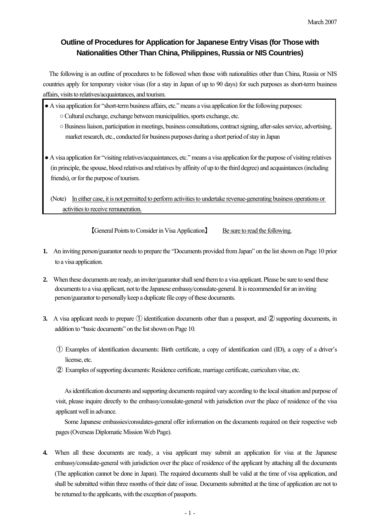### **Outline of Procedures for Application for Japanese Entry Visas (for Those with Nationalities Other Than China, Philippines, Russia or NIS Countries)**

The following is an outline of procedures to be followed when those with nationalities other than China, Russia or NIS countries apply for temporary visitor visas (for a stay in Japan of up to 90 days) for such purposes as short-term business affairs, visits to relatives/acquaintances, and tourism.

- A visa application for "short-term business affairs, etc." means a visa application for the following purposes:
	- Cultural exchange, exchange between municipalities, sports exchange, etc.
	- Business liaison, participation in meetings, business consultations, contract signing, after-sales service, advertising, market research, etc., conducted for business purposes during a short period of stay in Japan
- A visa application for "visiting relatives/acquaintances, etc." means a visa application for the purpose of visiting relatives (in principle, the spouse, blood relatives and relatives by affinity of up to the third degree) and acquaintances (including friends), or for the purpose of tourism.

(Note) In either case, it is not permitted to perform activities to undertake revenue-generating business operations or activities to receive remuneration.

【General Points to Consider in Visa Application】 Be sure to read the following.

**1.** An inviting person/guarantor needs to prepare the "Documents provided from Japan" on the list shown on Page 10 prior

- to a visa application.
- **2.** When these documents are ready, an inviter/guarantor shall send them to a visa applicant. Please be sure to send these documents to a visa applicant, not to the Japanese embassy/consulate-general. It is recommended for an inviting person/guarantor to personally keep a duplicate file copy of these documents.
- **3.** A visa applicant needs to prepare ① identification documents other than a passport, and ② supporting documents, in addition to "basic documents" on the list shown on Page 10.
	- ① Examples of identification documents: Birth certificate, a copy of identification card (ID), a copy of a driver's license, etc.
	- ② Examples of supporting documents: Residence certificate, marriage certificate, curriculum vitae, etc.

As identification documents and supporting documents required vary according to the local situation and purpose of visit, please inquire directly to the embassy/consulate-general with jurisdiction over the place of residence of the visa applicant well in advance.

Some Japanese embassies/consulates-general offer information on the documents required on their respective web pages (Overseas Diplomatic Mission Web Page).

**4.** When all these documents are ready, a visa applicant may submit an application for visa at the Japanese embassy/consulate-general with jurisdiction over the place of residence of the applicant by attaching all the documents (The application cannot be done in Japan). The required documents shall be valid at the time of visa application, and shall be submitted within three months of their date of issue. Documents submitted at the time of application are not to be returned to the applicants, with the exception of passports.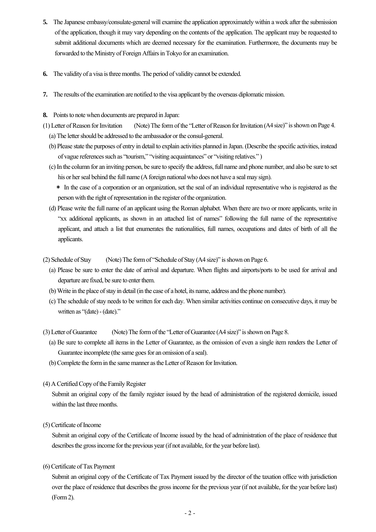- **5.** The Japanese embassy/consulate-general will examine the application approximately within a week after the submission of the application, though it may vary depending on the contents of the application. The applicant may be requested to submit additional documents which are deemed necessary for the examination. Furthermore, the documents may be forwarded to the Ministry of Foreign Affairs in Tokyo for an examination.
- **6.** The validity of a visa is three months. The period of validity cannot be extended.
- **7.** The results of the examination are notified to the visa applicant by the overseas diplomatic mission.
- **8.** Points to note when documents are prepared in Japan:
- (1) Letter of Reason for Invitation (Note) The form of the "Letter of Reason for Invitation (A4 size)" is shown on Page 4. (a) The letter should be addressed to the ambassador or the consul-general.
	- (b) Please state the purposes of entry in detail to explain activities planned in Japan. (Describe the specific activities, instead of vague references such as "tourism," "visiting acquaintances" or "visiting relatives." )
	- (c) In the column for an inviting person, be sure to specify the address, full name and phone number, and also be sure to set his or her seal behind the full name (A foreign national who does not have a seal may sign).
		- \* In the case of a corporation or an organization, set the seal of an individual representative who is registered as the person with the right of representation in the register of the organization.
	- (d) Please write the full name of an applicant using the Roman alphabet. When there are two or more applicants, write in "xx additional applicants, as shown in an attached list of names" following the full name of the representative applicant, and attach a list that enumerates the nationalities, full names, occupations and dates of birth of all the applicants.

(2) Schedule of Stay (Note) The form of "Schedule of Stay (A4 size)" is shown on Page 6.

- (a) Please be sure to enter the date of arrival and departure. When flights and airports/ports to be used for arrival and departure are fixed, be sure to enter them.
- (b) Write in the place of stay in detail (in the case of a hotel, its name, address and the phone number).
- (c) The schedule of stay needs to be written for each day. When similar activities continue on consecutive days, it may be written as "(date) - (date)."

(3) Letter of Guarantee (Note) The form of the "Letter of Guarantee (A4 size)" is shown on Page 8.

- (a) Be sure to complete all items in the Letter of Guarantee, as the omission of even a single item renders the Letter of Guarantee incomplete (the same goes for an omission of a seal).
- (b) Complete the form in the same manner as the Letter of Reason for Invitation.
- (4) A Certified Copy of the Family Register

Submit an original copy of the family register issued by the head of administration of the registered domicile, issued within the last three months.

(5) Certificate of Income

 Submit an original copy of the Certificate of Income issued by the head of administration of the place of residence that describes the gross income for the previous year (if not available, for the year before last).

(6) Certificate of Tax Payment

Submit an original copy of the Certificate of Tax Payment issued by the director of the taxation office with jurisdiction over the place of residence that describes the gross income for the previous year (if not available, for the year before last) (Form 2).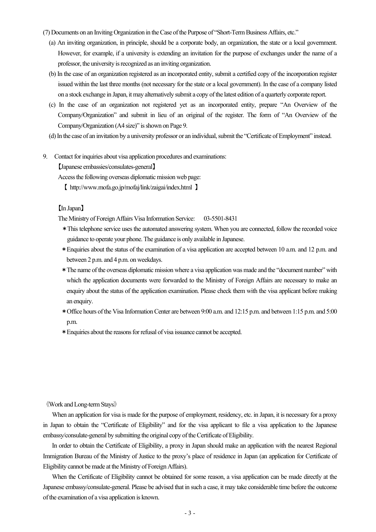- (7) Documents on an Inviting Organization in the Case of the Purpose of "Short-Term Business Affairs, etc."
	- (a) An inviting organization, in principle, should be a corporate body, an organization, the state or a local government. However, for example, if a university is extending an invitation for the purpose of exchanges under the name of a professor, the university is recognized as an inviting organization.
	- (b) In the case of an organization registered as an incorporated entity, submit a certified copy of the incorporation register issued within the last three months (not necessary for the state or a local government). In the case of a company listed on a stock exchange in Japan, it may alternatively submit a copy of the latest edition of a quarterly corporate report.
	- (c) In the case of an organization not registered yet as an incorporated entity, prepare "An Overview of the Company/Organization" and submit in lieu of an original of the register. The form of "An Overview of the Company/Organization (A4 size)" is shown on Page 9.
	- (d) In the case of an invitation by a university professor or an individual, submit the "Certificate of Employment" instead.
- 9. Contact for inquiries about visa application procedures and examinations:

【Japanese embassies/consulates-general】

Access the following overseas diplomatic mission web page:

【 http://www.mofa.go.jp/mofaj/link/zaigai/index.html 】

### 【In Japan】

The Ministry of Foreign Affairs Visa Information Service: 03-5501-8431

- \*This telephone service uses the automated answering system. When you are connected, follow the recorded voice guidance to operate your phone. The guidance is only available in Japanese.
- \*Enquiries about the status of the examination of a visa application are accepted between 10 a.m. and 12 p.m. and between 2 p.m. and 4 p.m. on weekdays.
- \*The name of the overseas diplomatic mission where a visa application was made and the "document number" with which the application documents were forwarded to the Ministry of Foreign Affairs are necessary to make an enquiry about the status of the application examination. Please check them with the visa applicant before making an enquiry.
- \*Office hours of the Visa Information Center are between 9:00 a.m. and 12:15 p.m. and between 1:15 p.m. and 5:00 p.m.
- \*Enquiries about the reasons for refusal of visa issuance cannot be accepted.

#### 《Work and Long-term Stays》

When an application for visa is made for the purpose of employment, residency, etc. in Japan, it is necessary for a proxy in Japan to obtain the "Certificate of Eligibility" and for the visa applicant to file a visa application to the Japanese embassy/consulate-general by submitting the original copy of the Certificate of Eligibility.

 In order to obtain the Certificate of Eligibility, a proxy in Japan should make an application with the nearest Regional Immigration Bureau of the Ministry of Justice to the proxy's place of residence in Japan (an application for Certificate of Eligibility cannot be made at the Ministry of Foreign Affairs).

When the Certificate of Eligibility cannot be obtained for some reason, a visa application can be made directly at the Japanese embassy/consulate-general. Please be advised that in such a case, it may take considerable time before the outcome of the examination of a visa application is known.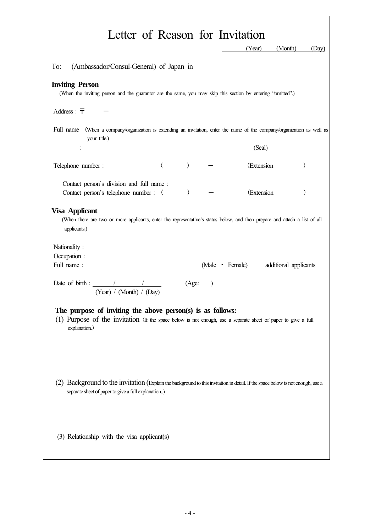|                                                                                                                                                                                              |          |               |               | Letter of Reason for Invitation<br>(Year) | (Month)<br>(Day)      |
|----------------------------------------------------------------------------------------------------------------------------------------------------------------------------------------------|----------|---------------|---------------|-------------------------------------------|-----------------------|
| To:<br>(Ambassador/Consul-General) of Japan in                                                                                                                                               |          |               |               |                                           |                       |
| <b>Inviting Person</b><br>(When the inviting person and the guarantor are the same, you may skip this section by entering "omitted".)                                                        |          |               |               |                                           |                       |
| Address : $\overline{\tau}$                                                                                                                                                                  |          |               |               |                                           |                       |
| Full name<br>(When a company/organization is extending an invitation, enter the name of the company/organization as well as<br>your title.)                                                  |          |               |               |                                           |                       |
| ÷                                                                                                                                                                                            |          |               |               | (Seal)                                    |                       |
| Telephone number :                                                                                                                                                                           | $\left($ | $\mathcal{C}$ |               | (Extension                                |                       |
| Contact person's division and full name:<br>Contact person's telephone number : (                                                                                                            |          | $\mathcal{C}$ |               | (Extension                                | )                     |
| <b>Visa Applicant</b><br>(When there are two or more applicants, enter the representative's status below, and then prepare and attach a list of all<br>applicants.)                          |          |               |               |                                           |                       |
| Nationality:                                                                                                                                                                                 |          |               |               |                                           |                       |
| Occupation :<br>Full name:                                                                                                                                                                   |          |               |               | (Male • Female)                           | additional applicants |
| Date of birth : $\frac{1}{\sqrt{1-\frac{1}{2}}}\left\vert \frac{1}{\sqrt{1-\frac{1}{2}}}\right\vert$<br>(Year) / (Month) / (Day)                                                             |          | (Age)         | $\mathcal{E}$ |                                           |                       |
| The purpose of inviting the above person(s) is as follows:<br>(1) Purpose of the invitation (If the space below is not enough, use a separate sheet of paper to give a full<br>explanation.) |          |               |               |                                           |                       |
| (2) Background to the invitation (Explain the background to this invitation in detail. If the space below is not enough, use a<br>separate sheet of paper to give a full explanation)        |          |               |               |                                           |                       |
| (3) Relationship with the visa applicant(s)                                                                                                                                                  |          |               |               |                                           |                       |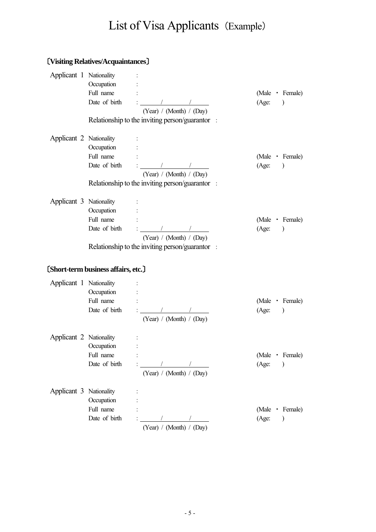# List of Visa Applicants (Example)

## 〔**Visiting Relatives/Acquaintances**〕

| Applicant 1 Nationality | Occupation<br>Full name                                    | Date of birth $\qquad \qquad : \qquad \qquad / \qquad \qquad /$<br>(Year) / (Month) / (Day)<br>Relationship to the inviting person/guarantor : | (Male Female)<br>(Age: )              |
|-------------------------|------------------------------------------------------------|------------------------------------------------------------------------------------------------------------------------------------------------|---------------------------------------|
| Applicant 2 Nationality | Occupation :<br>Full name                                  | Date of birth $\qquad \qquad : \qquad \qquad / \qquad \qquad /$<br>(Year) / (Month) / (Day)<br>Relationship to the inviting person/guarantor : | (Male • Female)<br>(Age: )            |
| Applicant 3 Nationality | Occupation<br>Full name                                    | Date of birth $\qquad \frac{1}{2}$ $\qquad \qquad \frac{1}{2}$<br>(Year) / (Month) / (Day)<br>Relationship to the inviting person/guarantor :  | (Male Female)<br>(Age: )              |
|                         | [Short-term business affairs, etc.]                        |                                                                                                                                                |                                       |
| Applicant 1 Nationality | Occupation :<br>Full name                                  | Date of birth $\qquad \qquad : \qquad \qquad / \qquad \qquad /$<br>(Year) / (Month) / (Day)                                                    | (Male Female)<br>(Age: )              |
| Applicant 2 Nationality | $\sim 10^{-1}$<br>Occupation<br>Full name<br>Date of birth | (Year) / (Month) / (Day)                                                                                                                       | (Male · Female)<br>(Age:<br>$\lambda$ |
| Applicant 3 Nationality | Occupation<br>Full name<br>Date of birth                   | (Year) / (Month) / (Day)                                                                                                                       | (Male · Female)<br>(Age:<br>$\lambda$ |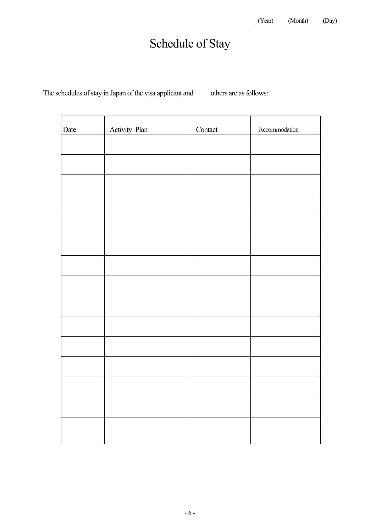## Schedule of Stay

The schedules of stay in Japan of the visa applicant and others are as follows:

| Date | Activity Plan | Contact | Accommodation |
|------|---------------|---------|---------------|
|      |               |         |               |
|      |               |         |               |
|      |               |         |               |
|      |               |         |               |
|      |               |         |               |
|      |               |         |               |
|      |               |         |               |
|      |               |         |               |
|      |               |         |               |
|      |               |         |               |
|      |               |         |               |
|      |               |         |               |
|      |               |         |               |
|      |               |         |               |
|      |               |         |               |
|      |               |         |               |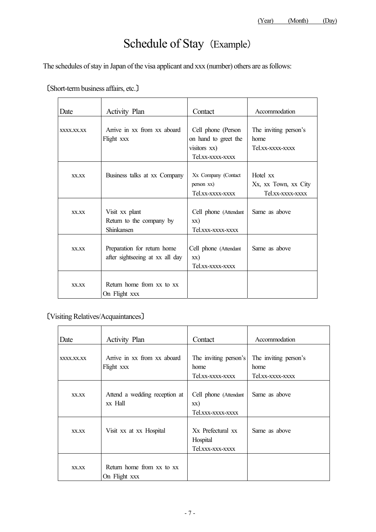# Schedule of Stay (Example)

The schedules of stay in Japan of the visa applicant and xxx (number) others are as follows:

| Date       | <b>Activity Plan</b>                                           | Contact                                                                        | Accommodation                                        |
|------------|----------------------------------------------------------------|--------------------------------------------------------------------------------|------------------------------------------------------|
| XXXX.XX.XX | Arrive in xx from xx aboard<br>Flight xxx                      | Cell phone (Person<br>on hand to greet the<br>visitors xx)<br>Tel xx-xxxx-xxxx | The inviting person's<br>home<br>Tel.xx-xxxx-xxxx    |
| XX.XX      | Business talks at xx Company                                   | Xx Company (Contact<br>person xx)<br>Tel.xx-xxxx-xxxx                          | Hotel xx<br>Xx, xx Town, xx City<br>Tel.xx-xxxx-xxxx |
| XX.XX      | Visit xx plant<br>Return to the company by<br>Shinkansen       | Cell phone (Attendant<br>XX)<br>Tel.xxx-xxxx-xxxx                              | Same as above                                        |
| XX.XX      | Preparation for return home<br>after sightseeing at xx all day | Cell phone (Attendant<br>XX)<br>Tel.xx-xxxx-xxxx                               | Same as above                                        |
| XX.XX      | Return home from xx to xx<br>On Flight xxx                     |                                                                                |                                                      |

〔Short-term business affairs, etc.〕

〔Visiting Relatives/Acquaintances〕

| Date       | <b>Activity Plan</b>                       | Contact                                                                   | Accommodation                                     |
|------------|--------------------------------------------|---------------------------------------------------------------------------|---------------------------------------------------|
|            |                                            |                                                                           |                                                   |
| XXXX.XX.XX | Arrive in xx from xx aboard<br>Flight xxx  | The inviting person's<br>home<br>Tel.xx-xxxx-xxxx                         | The inviting person's<br>home<br>Tel.xx-xxxx-xxxx |
| XX.XX      | Attend a wedding reception at<br>xx Hall   | Cell phone (Attendant<br>XX)<br>Tel.xxx-xxxx-xxxx                         | Same as above                                     |
| XX.XX      | Visit xx at xx Hospital                    | X <sub>x</sub> Prefectural x <sub>x</sub><br>Hospital<br>Tel.xxx-xxx-xxxx | Same as above                                     |
| XX.XX      | Return home from xx to xx<br>On Flight xxx |                                                                           |                                                   |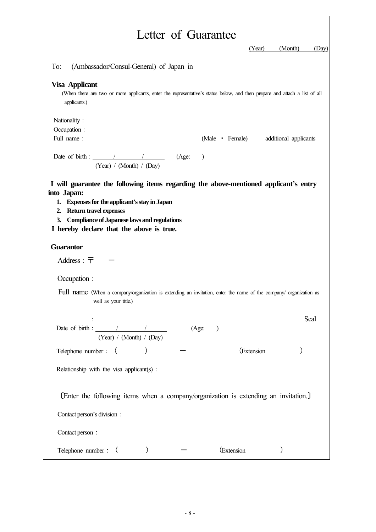| Letter of Guarantee                                                                                                                                                                                                                                                                       |         |                 |                       |
|-------------------------------------------------------------------------------------------------------------------------------------------------------------------------------------------------------------------------------------------------------------------------------------------|---------|-----------------|-----------------------|
|                                                                                                                                                                                                                                                                                           |         | (Year)          | (Month)<br>(Day)      |
| To:<br>(Ambassador/Consul-General) of Japan in                                                                                                                                                                                                                                            |         |                 |                       |
| <b>Visa Applicant</b><br>(When there are two or more applicants, enter the representative's status below, and then prepare and attach a list of all<br>applicants.)                                                                                                                       |         |                 |                       |
| Nationality:<br>Occupation :                                                                                                                                                                                                                                                              |         |                 |                       |
| Full name:                                                                                                                                                                                                                                                                                |         | (Male • Female) | additional applicants |
| Date of birth : $\angle$ / / (Age: )<br>(Year) / (Month) / (Day)                                                                                                                                                                                                                          |         |                 |                       |
| I will guarantee the following items regarding the above-mentioned applicant's entry<br>into Japan:<br>1. Expenses for the applicant's stay in Japan<br>2. Return travel expenses<br><b>Compliance of Japanese laws and regulations</b><br>3.<br>I hereby declare that the above is true. |         |                 |                       |
| <b>Guarantor</b>                                                                                                                                                                                                                                                                          |         |                 |                       |
| Address : $\overline{\tau}$                                                                                                                                                                                                                                                               |         |                 |                       |
| Occupation :                                                                                                                                                                                                                                                                              |         |                 |                       |
| Full name (When a company/organization is extending an invitation, enter the name of the company/ organization as<br>well as your title.)                                                                                                                                                 |         |                 |                       |
| Date of birth : $\qquad \qquad /$<br>(Year) / (Month) / (Day)                                                                                                                                                                                                                             | (Age: ) |                 | Seal                  |
| Telephone number: (                                                                                                                                                                                                                                                                       |         | (Extension      |                       |
| Relationship with the visa applicant(s):                                                                                                                                                                                                                                                  |         |                 |                       |
| [Enter the following items when a company/organization is extending an invitation.]                                                                                                                                                                                                       |         |                 |                       |
| Contact person's division :                                                                                                                                                                                                                                                               |         |                 |                       |
| Contact person:                                                                                                                                                                                                                                                                           |         |                 |                       |
| Telephone number : (                                                                                                                                                                                                                                                                      |         | (Extension      |                       |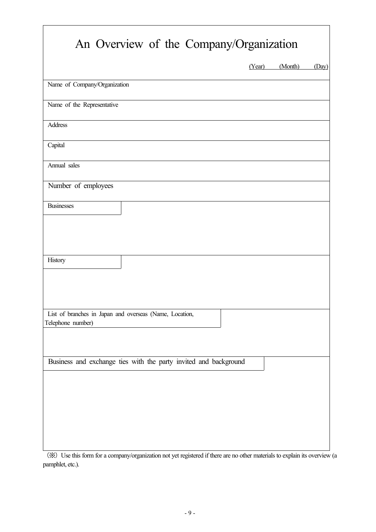|                                                                              | (Year) | (Month) | (Day) |
|------------------------------------------------------------------------------|--------|---------|-------|
| Name of Company/Organization                                                 |        |         |       |
| Name of the Representative                                                   |        |         |       |
| Address                                                                      |        |         |       |
| Capital                                                                      |        |         |       |
| Annual sales                                                                 |        |         |       |
| Number of employees                                                          |        |         |       |
| <b>Businesses</b>                                                            |        |         |       |
| History                                                                      |        |         |       |
|                                                                              |        |         |       |
| List of branches in Japan and overseas (Name, Location,<br>Telephone number) |        |         |       |
| Business and exchange ties with the party invited and background             |        |         |       |
|                                                                              |        |         |       |
|                                                                              |        |         |       |

 $\overline{\mathbf{1}}$ 

(※) Use this form for a company/organization not yet registered if there are no other materials to explain its overview (a pamphlet, etc.).